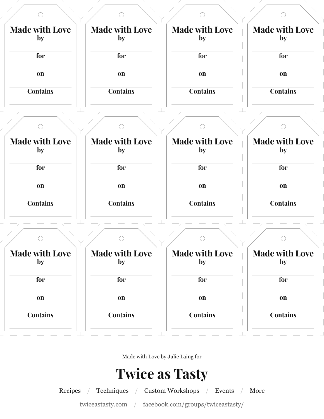

Made with Love by Julie Laing for

## **Twice as Tasty**

Recipes / Techniques / Custom Workshops / Events / More

twiceastasty.com / facebook.com/groups/twiceastasty/